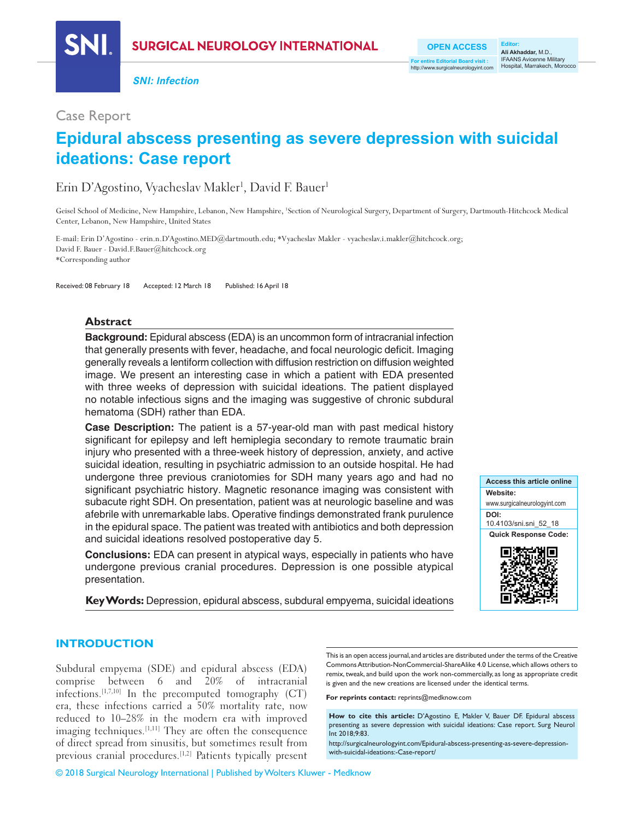**SURGICAL NEUROLOGY INTERNATIONAL** 

**SNI: Infection**

## Case Report

# **Epidural abscess presenting as severe depression with suicidal ideations: Case report**

# Erin D'Agostino, Vyacheslav Makler<sup>1</sup>, David F. Bauer<sup>1</sup>

Geisel School of Medicine, New Hampshire, Lebanon, New Hampshire, 'Section of Neurological Surgery, Department of Surgery, Dartmouth-Hitchcock Medical Center, Lebanon, New Hampshire, United States

E‑mail: Erin D'Agostino ‑ erin.n.D'Agostino.MED@dartmouth.edu; \*Vyacheslav Makler ‑ vyacheslav.i.makler@hitchcock.org; David F. Bauer - David.F.Bauer@hitchcock.org \*Corresponding author

Received: 08 February 18 Accepted: 12 March 18 Published: 16 April 18

### **Abstract**

**Background:** Epidural abscess (EDA) is an uncommon form of intracranial infection that generally presents with fever, headache, and focal neurologic deficit. Imaging generally reveals a lentiform collection with diffusion restriction on diffusion weighted image. We present an interesting case in which a patient with EDA presented with three weeks of depression with suicidal ideations. The patient displayed no notable infectious signs and the imaging was suggestive of chronic subdural hematoma (SDH) rather than EDA.

**Case Description:** The patient is a 57‑year‑old man with past medical history significant for epilepsy and left hemiplegia secondary to remote traumatic brain injury who presented with a three‑week history of depression, anxiety, and active suicidal ideation, resulting in psychiatric admission to an outside hospital. He had undergone three previous craniotomies for SDH many years ago and had no significant psychiatric history. Magnetic resonance imaging was consistent with subacute right SDH. On presentation, patient was at neurologic baseline and was afebrile with unremarkable labs. Operative findings demonstrated frank purulence in the epidural space. The patient was treated with antibiotics and both depression and suicidal ideations resolved postoperative day 5.

**Conclusions:** EDA can present in atypical ways, especially in patients who have undergone previous cranial procedures. Depression is one possible atypical presentation.

**Key Words:** Depression, epidural abscess, subdural empyema, suicidal ideations



### **INTRODUCTION**

Subdural empyema (SDE) and epidural abscess (EDA) comprise between 6 and 20% of intracranial infections.[1,7,10] In the precomputed tomography (CT) era, these infections carried a 50% mortality rate, now reduced to 10–28% in the modern era with improved imaging techniques.<sup>[1,11]</sup> They are often the consequence of direct spread from sinusitis, but sometimes result from previous cranial procedures.<sup>[1,2]</sup> Patients typically present

This is an open access journal, and articles are distributed under the terms of the Creative Commons Attribution-NonCommercial-ShareAlike 4.0 License, which allows others to remix, tweak, and build upon the work non-commercially, as long as appropriate credit is given and the new creations are licensed under the identical terms.

**For reprints contact:** reprints@medknow.com

**How to cite this article:** D'Agostino E, Makler V, Bauer DF. Epidural abscess presenting as severe depression with suicidal ideations: Case report. Surg Neurol Int 2018;9:83.

http://surgicalneurologyint.com/Epidural-abscess-presenting-as-severe-depressionwith-suicidal-ideations:-Case-report/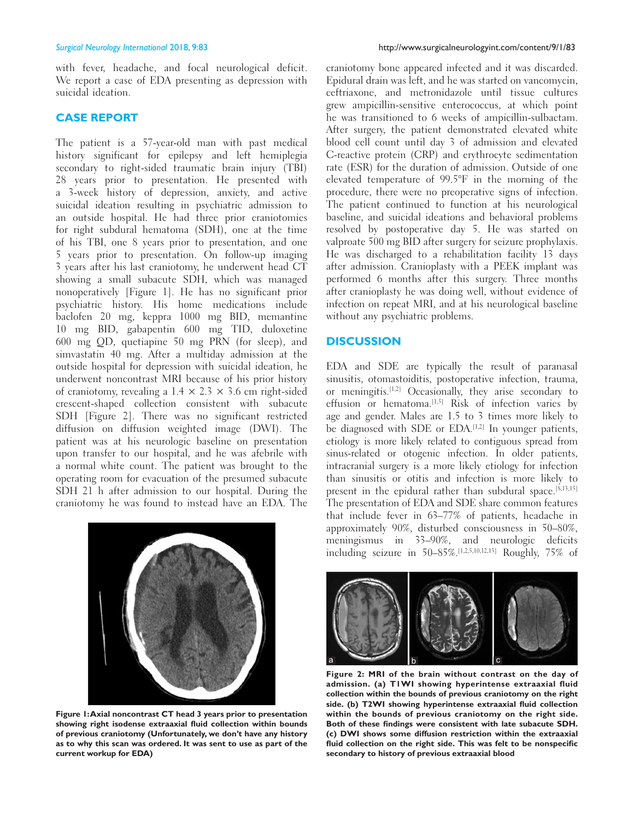with fever, headache, and focal neurological deficit. We report a case of EDA presenting as depression with suicidal ideation.

#### **CASE REPORT**

The patient is a 57-year-old man with past medical history significant for epilepsy and left hemiplegia secondary to right-sided traumatic brain injury (TBI) 28 years prior to presentation. He presented with a 3‑week history of depression, anxiety, and active suicidal ideation resulting in psychiatric admission to an outside hospital. He had three prior craniotomies for right subdural hematoma (SDH), one at the time of his TBI, one 8 years prior to presentation, and one 5 years prior to presentation. On follow‑up imaging 3 years after his last craniotomy, he underwent head CT showing a small subacute SDH, which was managed nonoperatively [Figure 1]. He has no significant prior psychiatric history. His home medications include baclofen 20 mg, keppra 1000 mg BID, memantine 10 mg BID, gabapentin 600 mg TID, duloxetine 600 mg QD, quetiapine 50 mg PRN (for sleep), and simvastatin 40 mg. After a multiday admission at the outside hospital for depression with suicidal ideation, he underwent noncontrast MRI because of his prior history of craniotomy, revealing a  $1.4 \times 2.3 \times 3.6$  cm right-sided crescent‑shaped collection consistent with subacute SDH [Figure 2]. There was no significant restricted diffusion on diffusion weighted image (DWI). The patient was at his neurologic baseline on presentation upon transfer to our hospital, and he was afebrile with a normal white count. The patient was brought to the operating room for evacuation of the presumed subacute SDH 21 h after admission to our hospital. During the craniotomy he was found to instead have an EDA. The



**Figure 1: Axial noncontrast CT head 3 years prior to presentation showing right isodense extraaxial fluid collection within bounds of previous craniotomy (Unfortunately, we don't have any history as to why this scan was ordered. It was sent to use as part of the current workup for EDA)**

craniotomy bone appeared infected and it was discarded. Epidural drain was left, and he was started on vancomycin, ceftriaxone, and metronidazole until tissue cultures grew ampicillin‑sensitive enterococcus, at which point he was transitioned to 6 weeks of ampicillin-sulbactam. After surgery, the patient demonstrated elevated white blood cell count until day 3 of admission and elevated C‑reactive protein (CRP) and erythrocyte sedimentation rate (ESR) for the duration of admission. Outside of one elevated temperature of 99.5°F in the morning of the procedure, there were no preoperative signs of infection. The patient continued to function at his neurological baseline, and suicidal ideations and behavioral problems resolved by postoperative day 5. He was started on valproate 500 mg BID after surgery for seizure prophylaxis. He was discharged to a rehabilitation facility 13 days after admission. Cranioplasty with a PEEK implant was performed 6 months after this surgery. Three months after cranioplasty he was doing well, without evidence of infection on repeat MRI, and at his neurological baseline without any psychiatric problems.

#### **DISCUSSION**

EDA and SDE are typically the result of paranasal sinusitis, otomastoiditis, postoperative infection, trauma, or meningitis.[1,2] Occasionally, they arise secondary to effusion or hematoma.<sup>[1,5]</sup> Risk of infection varies by age and gender. Males are 1.5 to 3 times more likely to be diagnosed with SDE or EDA.<sup>[1,2]</sup> In younger patients, etiology is more likely related to contiguous spread from sinus-related or otogenic infection. In older patients, intracranial surgery is a more likely etiology for infection than sinusitis or otitis and infection is more likely to present in the epidural rather than subdural space.<sup>[8,13,15]</sup> The presentation of EDA and SDE share common features that include fever in 63–77% of patients, headache in approximately 90%, disturbed consciousness in 50–80%, meningismus in 33–90%, and neurologic deficits including seizure in 50–85%.[1,2,5,10,12,13] Roughly, 75% of



**Figure 2: MRI of the brain without contrast on the day of admission. (a) T1WI showing hyperintense extraaxial fluid collection within the bounds of previous craniotomy on the right side. (b) T2WI showing hyperintense extraaxial fluid collection within the bounds of previous craniotomy on the right side. Both of these findings were consistent with late subacute SDH. (c) DWI shows some diffusion restriction within the extraaxial fluid collection on the right side. This was felt to be nonspecific secondary to history of previous extraaxial blood**